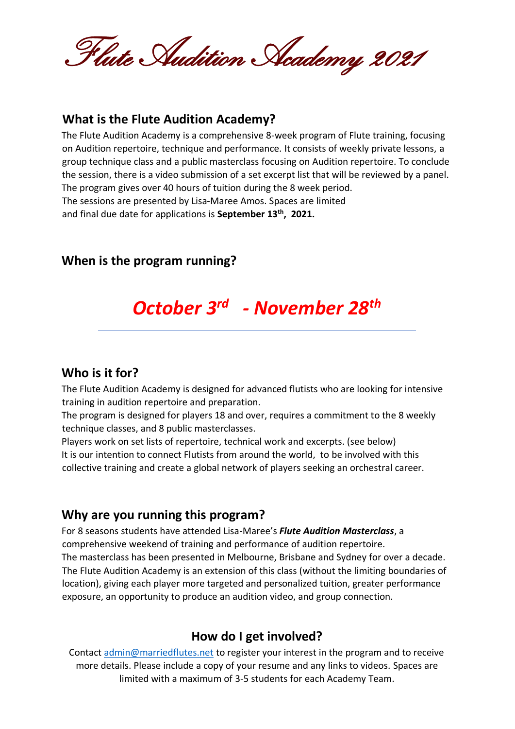Flute Audition Academy 2021

#### **What is the Flute Audition Academy?**

The Flute Audition Academy is a comprehensive 8-week program of Flute training, focusing on Audition repertoire, technique and performance. It consists of weekly private lessons, a group technique class and a public masterclass focusing on Audition repertoire. To conclude the session, there is a video submission of a set excerpt list that will be reviewed by a panel. The program gives over 40 hours of tuition during the 8 week period. The sessions are presented by Lisa-Maree Amos. Spaces are limited and final due date for applications is **September 13th , 2021.**

## **When is the program running?**

# *October 3 rd - November 28th*

#### **Who is it for?**

The Flute Audition Academy is designed for advanced flutists who are looking for intensive training in audition repertoire and preparation.

The program is designed for players 18 and over, requires a commitment to the 8 weekly technique classes, and 8 public masterclasses.

Players work on set lists of repertoire, technical work and excerpts. (see below) It is our intention to connect Flutists from around the world, to be involved with this collective training and create a global network of players seeking an orchestral career.

#### **Why are you running this program?**

For 8 seasons students have attended Lisa-Maree's *Flute Audition Masterclass*, a comprehensive weekend of training and performance of audition repertoire. The masterclass has been presented in Melbourne, Brisbane and Sydney for over a decade. The Flute Audition Academy is an extension of this class (without the limiting boundaries of location), giving each player more targeted and personalized tuition, greater performance exposure, an opportunity to produce an audition video, and group connection.

## **How do I get involved?**

Contact admin@marriedflutes.net to register your interest in the program and to receive more details. Please include a copy of your resume and any links to videos. Spaces are limited with a maximum of 3-5 students for each Academy Team.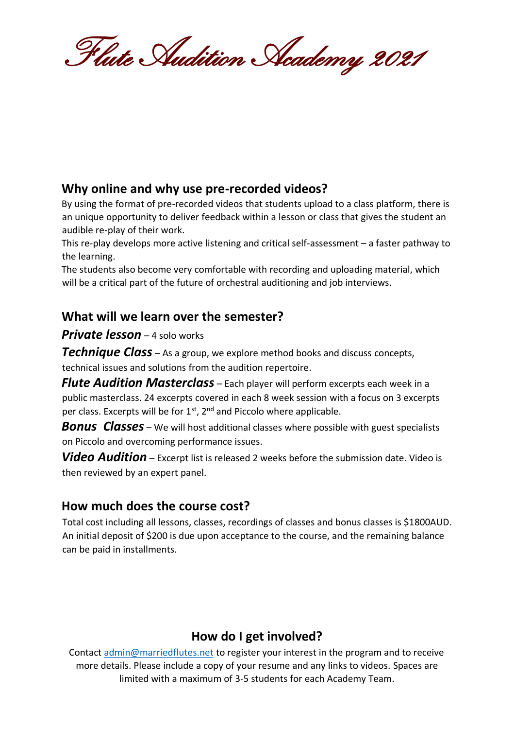Flute Audition Academy 2021

# **Why online and why use pre-recorded videos?**

By using the format of pre-recorded videos that students upload to a class platform, there is an unique opportunity to deliver feedback within a lesson or class that gives the student an audible re-play of their work.

This re-play develops more active listening and critical self-assessment – a faster pathway to the learning.

The students also become very comfortable with recording and uploading material, which will be a critical part of the future of orchestral auditioning and job interviews.

## **What will we learn over the semester?**

#### *Private lesson* – 4 solo works

*Technique Class* – As a group, we explore method books and discuss concepts, technical issues and solutions from the audition repertoire.

*Flute Audition Masterclass* – Each player will perform excerpts each week in a public masterclass. 24 excerpts covered in each 8 week session with a focus on 3 excerpts per class. Excerpts will be for 1<sup>st</sup>, 2<sup>nd</sup> and Piccolo where applicable.

**Bonus Classes** – We will host additional classes where possible with guest specialists on Piccolo and overcoming performance issues.

*Video Audition* – Excerpt list is released 2 weeks before the submission date. Video is then reviewed by an expert panel.

## **How much does the course cost?**

Total cost including all lessons, classes, recordings of classes and bonus classes is \$1800AUD. An initial deposit of \$200 is due upon acceptance to the course, and the remaining balance can be paid in installments.

# **How do I get involved?**

Contact admin@marriedflutes.net to register your interest in the program and to receive more details. Please include a copy of your resume and any links to videos. Spaces are limited with a maximum of 3-5 students for each Academy Team.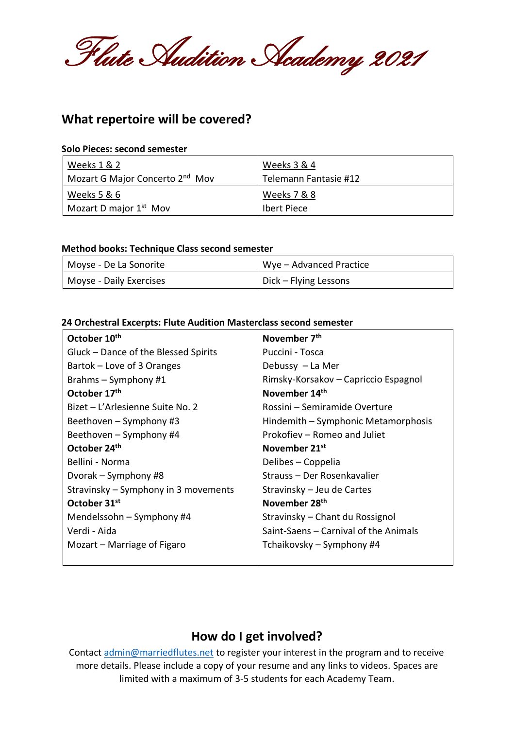Flute Audition Academy 2021

## **What repertoire will be covered?**

#### **Solo Pieces: second semester**

| Weeks 1 & 2                                 | Weeks 3 & 4           |
|---------------------------------------------|-----------------------|
| Mozart G Major Concerto 2 <sup>nd</sup> Mov | Telemann Fantasie #12 |
| Weeks 5 & 6                                 | Weeks 7 & 8           |
| Mozart D major 1 <sup>st</sup> Mov          | <b>Ibert Piece</b>    |

#### **Method books: Technique Class second semester**

| Moyse - De La Sonorite  | Wye – Advanced Practice |
|-------------------------|-------------------------|
| Moyse - Daily Exercises | Dick – Flying Lessons   |

#### **24 Orchestral Excerpts: Flute Audition Masterclass second semester**

| October 10th                         | November 7 <sup>th</sup>              |
|--------------------------------------|---------------------------------------|
| Gluck - Dance of the Blessed Spirits | Puccini - Tosca                       |
| Bartok – Love of 3 Oranges           | Debussy - La Mer                      |
| Brahms $-$ Symphony #1               | Rimsky-Korsakov – Capriccio Espagnol  |
| October 17th                         | November 14th                         |
| Bizet – L'Arlesienne Suite No. 2     | Rossini – Semiramide Overture         |
| Beethoven - Symphony #3              | Hindemith – Symphonic Metamorphosis   |
| Beethoven – Symphony #4              | Prokofiev - Romeo and Juliet          |
| October 24th                         | November 21 <sup>st</sup>             |
| Bellini - Norma                      | Delibes – Coppelia                    |
| Dvorak – Symphony #8                 | Strauss - Der Rosenkavalier           |
| Stravinsky - Symphony in 3 movements | Stravinsky – Jeu de Cartes            |
| October 31 <sup>st</sup>             | November 28 <sup>th</sup>             |
| Mendelssohn – Symphony #4            | Stravinsky - Chant du Rossignol       |
| Verdi - Aida                         | Saint-Saens - Carnival of the Animals |
| Mozart – Marriage of Figaro          | Tchaikovsky – Symphony #4             |
|                                      |                                       |

#### **How do I get involved?**

Contact admin@marriedflutes.net to register your interest in the program and to receive more details. Please include a copy of your resume and any links to videos. Spaces are limited with a maximum of 3-5 students for each Academy Team.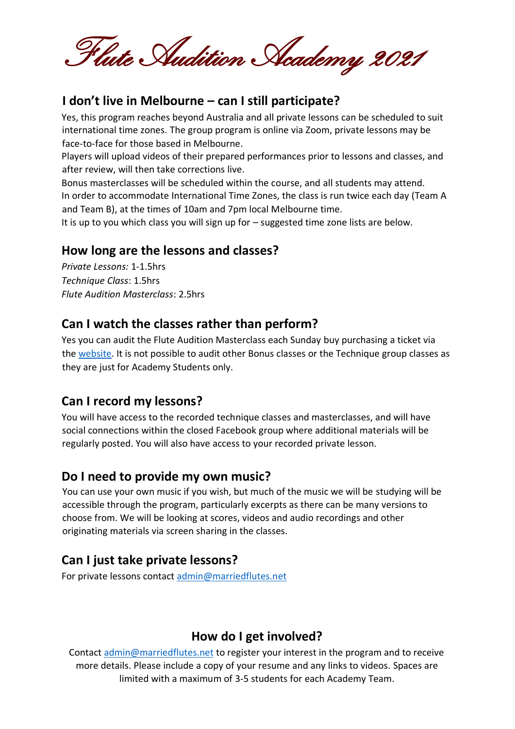Flute Audition Academy 2021

## **I don't live in Melbourne – can I still participate?**

Yes, this program reaches beyond Australia and all private lessons can be scheduled to suit international time zones. The group program is online via Zoom, private lessons may be face-to-face for those based in Melbourne.

Players will upload videos of their prepared performances prior to lessons and classes, and after review, will then take corrections live.

Bonus masterclasses will be scheduled within the course, and all students may attend. In order to accommodate International Time Zones, the class is run twice each day (Team A and Team B), at the times of 10am and 7pm local Melbourne time.

It is up to you which class you will sign up for – suggested time zone lists are below.

## **How long are the lessons and classes?**

*Private Lessons:* 1-1.5hrs *Technique Class*: 1.5hrs *Flute Audition Masterclass*: 2.5hrs

#### **Can I watch the classes rather than perform?**

Yes you can audit the Flute Audition Masterclass each Sunday buy purchasing a ticket via the [website.](http://www.marriedflutes.net/) It is not possible to audit other Bonus classes or the Technique group classes as they are just for Academy Students only.

## **Can I record my lessons?**

You will have access to the recorded technique classes and masterclasses, and will have social connections within the closed Facebook group where additional materials will be regularly posted. You will also have access to your recorded private lesson.

## **Do I need to provide my own music?**

You can use your own music if you wish, but much of the music we will be studying will be accessible through the program, particularly excerpts as there can be many versions to choose from. We will be looking at scores, videos and audio recordings and other originating materials via screen sharing in the classes.

# **Can I just take private lessons?**

For private lessons contact [admin@marriedflutes.net](mailto:admin@marriedflutes.net)

# **How do I get involved?**

Contact admin@marriedflutes.net to register your interest in the program and to receive more details. Please include a copy of your resume and any links to videos. Spaces are limited with a maximum of 3-5 students for each Academy Team.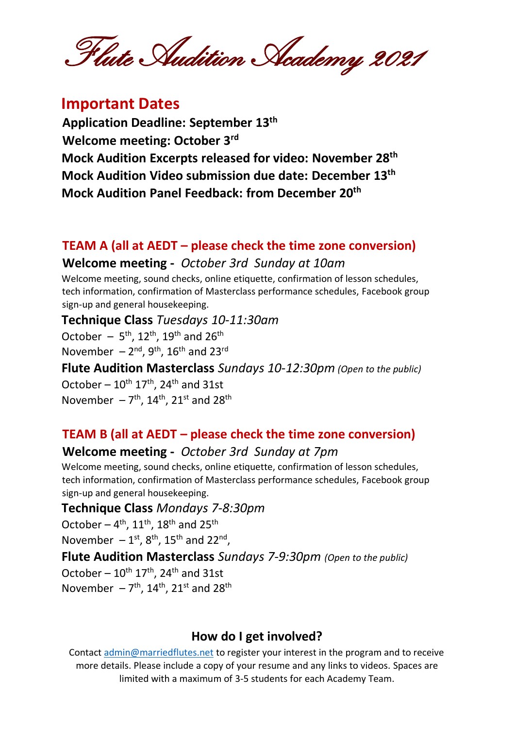Flute Audition Academy 2021

# **Important Dates**

**Application Deadline: September 13th Welcome meeting: October 3rd Mock Audition Excerpts released for video: November 28th Mock Audition Video submission due date: December 13th Mock Audition Panel Feedback: from December 20th**

#### **TEAM A (all at AEDT – please check the time zone conversion)**

#### **Welcome meeting -** *October 3rd Sunday at 10am*

Welcome meeting, sound checks, online etiquette, confirmation of lesson schedules, tech information, confirmation of Masterclass performance schedules, Facebook group sign-up and general housekeeping.

#### **Technique Class** *Tuesdays 10-11:30am*

October  $-5$ <sup>th</sup>, 12<sup>th</sup>, 19<sup>th</sup> and 26<sup>th</sup> November  $-2^{nd}$ , 9<sup>th</sup>, 16<sup>th</sup> and 23<sup>rd</sup>

**Flute Audition Masterclass** *Sundays 10-12:30pm (Open to the public)* October –  $10^{\text{th}}$  17<sup>th</sup>, 24<sup>th</sup> and 31st November  $-7<sup>th</sup>$ , 14<sup>th</sup>, 21<sup>st</sup> and 28<sup>th</sup>

## **TEAM B (all at AEDT – please check the time zone conversion)**

# **Welcome meeting -** *October 3rd Sunday at 7pm*

Welcome meeting, sound checks, online etiquette, confirmation of lesson schedules, tech information, confirmation of Masterclass performance schedules, Facebook group sign-up and general housekeeping.

#### **Technique Class** *Mondays 7-8:30pm*

October –  $4<sup>th</sup>$ ,  $11<sup>th</sup>$ ,  $18<sup>th</sup>$  and  $25<sup>th</sup>$ 

November  $-1^{st}$ , 8<sup>th</sup>, 15<sup>th</sup> and 22<sup>nd</sup>,

**Flute Audition Masterclass** *Sundays 7-9:30pm (Open to the public)*

October –  $10^{th}$   $17^{th}$ ,  $24^{th}$  and 31st November  $-7<sup>th</sup>$ , 14<sup>th</sup>, 21<sup>st</sup> and 28<sup>th</sup>

## **How do I get involved?**

Contact admin@marriedflutes.net to register your interest in the program and to receive more details. Please include a copy of your resume and any links to videos. Spaces are limited with a maximum of 3-5 students for each Academy Team.